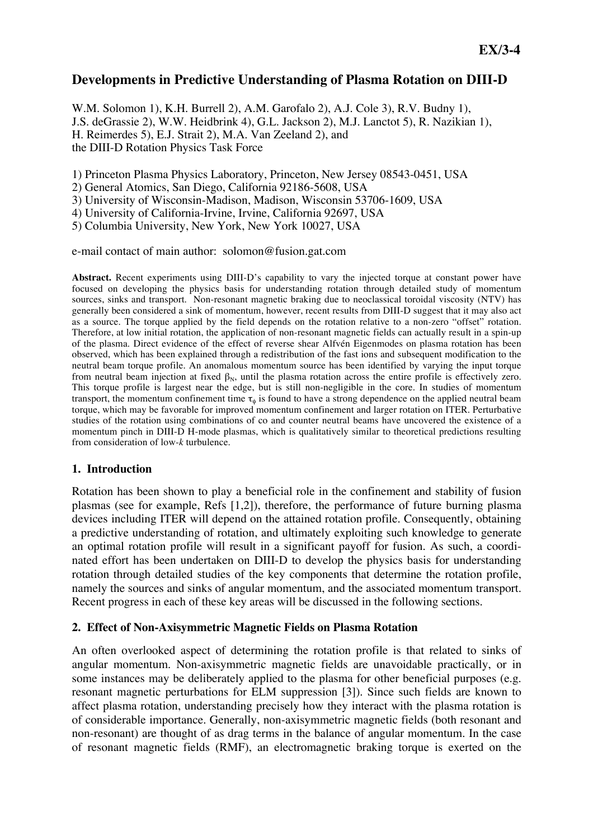# **Developments in Predictive Understanding of Plasma Rotation on DIII-D**

W.M. Solomon 1), K.H. Burrell 2), A.M. Garofalo 2), A.J. Cole 3), R.V. Budny 1), J.S. deGrassie 2), W.W. Heidbrink 4), G.L. Jackson 2), M.J. Lanctot 5), R. Nazikian 1), H. Reimerdes 5), E.J. Strait 2), M.A. Van Zeeland 2), and the DIII-D Rotation Physics Task Force

1) Princeton Plasma Physics Laboratory, Princeton, New Jersey 08543-0451, USA

2) General Atomics, San Diego, California 92186-5608, USA

3) University of Wisconsin-Madison, Madison, Wisconsin 53706-1609, USA

4) University of California-Irvine, Irvine, California 92697, USA

5) Columbia University, New York, New York 10027, USA

e-mail contact of main author: solomon@fusion.gat.com

Abstract. Recent experiments using DIII-D's capability to vary the injected torque at constant power have focused on developing the physics basis for understanding rotation through detailed study of momentum sources, sinks and transport. Non-resonant magnetic braking due to neoclassical toroidal viscosity (NTV) has generally been considered a sink of momentum, however, recent results from DIII-D suggest that it may also act as a source. The torque applied by the field depends on the rotation relative to a non-zero "offset" rotation. Therefore, at low initial rotation, the application of non-resonant magnetic fields can actually result in a spin-up of the plasma. Direct evidence of the effect of reverse shear Alfvén Eigenmodes on plasma rotation has been observed, which has been explained through a redistribution of the fast ions and subsequent modification to the neutral beam torque profile. An anomalous momentum source has been identified by varying the input torque from neutral beam injection at fixed  $\beta_N$ , until the plasma rotation across the entire profile is effectively zero. This torque profile is largest near the edge, but is still non-negligible in the core. In studies of momentum transport, the momentum confinement time  $\tau_{\phi}$  is found to have a strong dependence on the applied neutral beam torque, which may be favorable for improved momentum confinement and larger rotation on ITER. Perturbative studies of the rotation using combinations of co and counter neutral beams have uncovered the existence of a momentum pinch in DIII-D H-mode plasmas, which is qualitatively similar to theoretical predictions resulting from consideration of low-*k* turbulence.

## **1. Introduction**

Rotation has been shown to play a beneficial role in the confinement and stability of fusion plasmas (see for example, Refs [1,2]), therefore, the performance of future burning plasma devices including ITER will depend on the attained rotation profile. Consequently, obtaining a predictive understanding of rotation, and ultimately exploiting such knowledge to generate an optimal rotation profile will result in a significant payoff for fusion. As such, a coordinated effort has been undertaken on DIII-D to develop the physics basis for understanding rotation through detailed studies of the key components that determine the rotation profile, namely the sources and sinks of angular momentum, and the associated momentum transport. Recent progress in each of these key areas will be discussed in the following sections.

## **2. Effect of Non-Axisymmetric Magnetic Fields on Plasma Rotation**

An often overlooked aspect of determining the rotation profile is that related to sinks of angular momentum. Non-axisymmetric magnetic fields are unavoidable practically, or in some instances may be deliberately applied to the plasma for other beneficial purposes (e.g. resonant magnetic perturbations for ELM suppression [3]). Since such fields are known to affect plasma rotation, understanding precisely how they interact with the plasma rotation is of considerable importance. Generally, non-axisymmetric magnetic fields (both resonant and non-resonant) are thought of as drag terms in the balance of angular momentum. In the case of resonant magnetic fields (RMF), an electromagnetic braking torque is exerted on the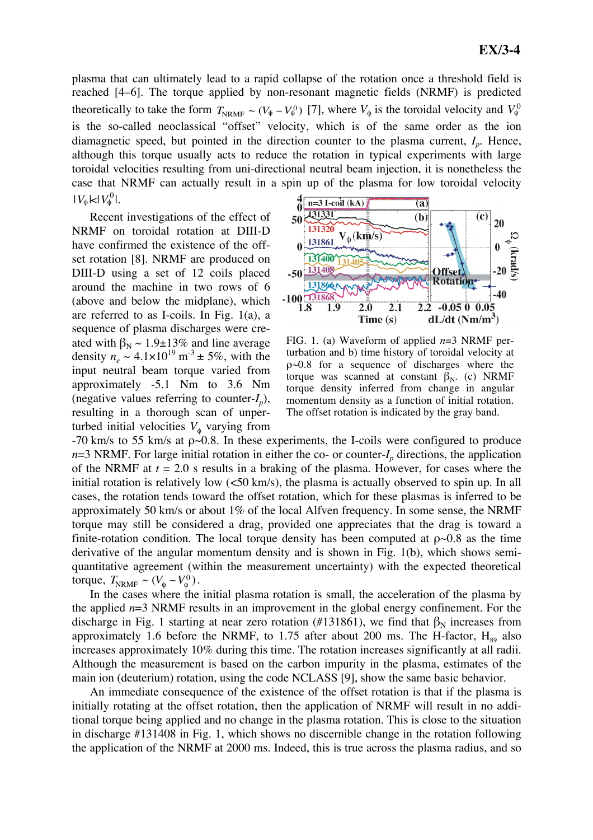plasma that can ultimately lead to a rapid collapse of the rotation once a threshold field is reached [4–6]. The torque applied by non-resonant magnetic fields (NRMF) is predicted theoretically to take the form  $T_{NRMF} \sim (V_{\phi} - V_{\phi}^0)$  [7], where  $V_{\phi}$  is the toroidal velocity and  $V_{\phi}^0$ although this torque usually acts to reduce the rotation in typical experiments with large € toroidal velocities resulting from uni-directional neutral beam injection, it is nonetheless the is the so-called neoclassical "offset" velocity, which is of the same order as the ion diamagnetic speed, but pointed in the direction counter to the plasma current,  $I<sub>p</sub>$ . Hence, case that NRMF can actually result in a spin up of the plasma for low toroidal velocity  $|V_{\phi}|\!\!<\!\!|V_{\phi}^0|$ .

Recent investigations of the effect of NRMF on toroidal rotation at DIII-D have confirmed the existence of the offset rotation [8]. NRMF are produced on DIII-D using a set of 12 coils placed around the machine in two rows of 6 (above and below the midplane), which are referred to as I-coils. In Fig. 1(a), a sequence of plasma discharges were created with  $\beta_N \sim 1.9 \pm 13\%$  and line average density  $n_e \sim 4.1 \times 10^{19} \text{ m}^3 \pm 5\%$ , with the input neutral beam torque varied from approximately -5.1 Nm to 3.6 Nm (negative values referring to counter- $I_n$ ), resulting in a thorough scan of unperturbed initial velocities  $V_{\phi}$  varying from



FIG. 1. (a) Waveform of applied *n*=3 NRMF perturbation and b) time history of toroidal velocity at ρ~0.8 for a sequence of discharges where the torque was scanned at constant  $\beta_N$ . (c) NRMF torque density inferred from change in angular momentum density as a function of initial rotation. The offset rotation is indicated by the gray band.

-70 km/s to 55 km/s at ρ~0.8. In these experiments, the I-coils were configured to produce  $n=3$  NRMF. For large initial rotation in either the co- or counter- $I_n$  directions, the application of the NRMF at *t* = 2.0 s results in a braking of the plasma. However, for cases where the initial rotation is relatively low  $\left(\langle 50 \text{ km/s}\right)$ , the plasma is actually observed to spin up. In all cases, the rotation tends toward the offset rotation, which for these plasmas is inferred to be approximately 50 km/s or about 1% of the local Alfven frequency. In some sense, the NRMF torque may still be considered a drag, provided one appreciates that the drag is toward a finite-rotation condition. The local torque density has been computed at  $\rho \sim 0.8$  as the time derivative of the angular momentum density and is shown in Fig. 1(b), which shows semiquantitative agreement (within the measurement uncertainty) with the expected theoretical torque,  $T_{\text{NRMF}} \sim (V_{\phi} - V_{\phi}^0)$ .

In the cases where the initial plasma rotation is small, the acceleration of the plasma by the applied *n*=3 NRMF results in an improvement in the global energy confinement. For the discharge in Fig. 1 starting at near zero rotation (#131861), we find that  $\beta_N$  increases from approximately 1.6 before the NRMF, to 1.75 after about 200 ms. The H-factor,  $H_{89}$  also increases approximately 10% during this time. The rotation increases significantly at all radii. Although the measurement is based on the carbon impurity in the plasma, estimates of the main ion (deuterium) rotation, using the code NCLASS [9], show the same basic behavior.

An immediate consequence of the existence of the offset rotation is that if the plasma is initially rotating at the offset rotation, then the application of NRMF will result in no additional torque being applied and no change in the plasma rotation. This is close to the situation in discharge #131408 in Fig. 1, which shows no discernible change in the rotation following the application of the NRMF at 2000 ms. Indeed, this is true across the plasma radius, and so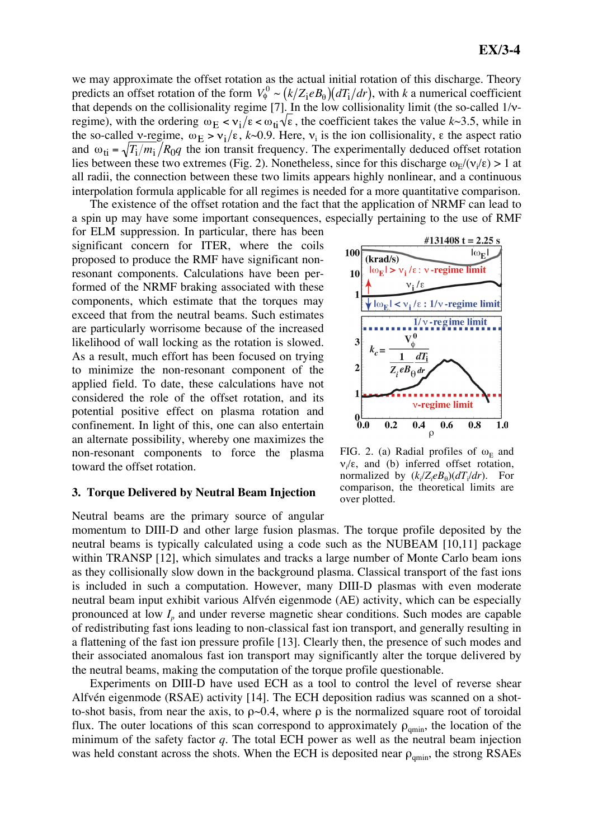we may approximate the offset rotation as the actual initial rotation of this discharge. Theory predicts an offset rotation of the form  $V_{\phi}^0 \sim (k/Z_i e B_{\theta})(dT_i/dr)$ , with *k* a numerical coefficient and  $\omega_{ti} = \sqrt{T_i/m_i/R_0q}$  the ion transit frequency. The experimentally deduced offset rotation that depends on the collisionality regime [7]. In the low collisionality limit (the so-called  $1/v$ regime), with the ordering  $\omega_E < v_i/\epsilon < \omega_{ti}\sqrt{\epsilon}$ , the coefficient takes the value  $k \sim 3.5$ , while in the so-called v-regime,  $\omega_E > v_i/\epsilon$ , k-0.9. Here,  $v_i$  is the ion collisionality,  $\epsilon$  the aspect ratio lies between these two extremes (Fig. 2). Nonetheless, since for this discharge  $\omega_E/(\nu_i/\epsilon) > 1$  at all radii, the connection between these two limits appears highly nonlinear, and a continuous interpolation formula applicable for all regimes is needed for a more quantitative comparison.

The existence of the offset rotation and the fact that the application of NRMF can lead to a spin up may have some important consequences, especially pertaining to the use of RMF

for ELM suppression. In particular, there has been significant concern for ITER, where the coils proposed to produce the RMF have significant nonresonant components. Calculations have been performed of the NRMF braking associated with these components, which estimate that the torques may exceed that from the neutral beams. Such estimates are particularly worrisome because of the increased likelihood of wall locking as the rotation is slowed. As a result, much effort has been focused on trying to minimize the non-resonant component of the applied field. To date, these calculations have not considered the role of the offset rotation, and its potential positive effect on plasma rotation and confinement. In light of this, one can also entertain an alternate possibility, whereby one maximizes the non-resonant components to force the plasma toward the offset rotation.

## **3. Torque Delivered by Neutral Beam Injection**

Neutral beams are the primary source of angular momentum to DIII-D and other large fusion plasmas. The torque profile deposited by the neutral beams is typically calculated using a code such as the NUBEAM [10,11] package within TRANSP [12], which simulates and tracks a large number of Monte Carlo beam ions as they collisionally slow down in the background plasma. Classical transport of the fast ions is included in such a computation. However, many DIII-D plasmas with even moderate neutral beam input exhibit various Alfvén eigenmode (AE) activity, which can be especially pronounced at low  $I_p$  and under reverse magnetic shear conditions. Such modes are capable of redistributing fast ions leading to non-classical fast ion transport, and generally resulting in a flattening of the fast ion pressure profile [13]. Clearly then, the presence of such modes and their associated anomalous fast ion transport may significantly alter the torque delivered by the neutral beams, making the computation of the torque profile questionable.

Experiments on DIII-D have used ECH as a tool to control the level of reverse shear Alfvén eigenmode (RSAE) activity [14]. The ECH deposition radius was scanned on a shotto-shot basis, from near the axis, to  $\rho \sim 0.4$ , where  $\rho$  is the normalized square root of toroidal flux. The outer locations of this scan correspond to approximately  $\rho_{qmin}$ , the location of the minimum of the safety factor *q*. The total ECH power as well as the neutral beam injection was held constant across the shots. When the ECH is deposited near  $\rho_{\text{amin}}$ , the strong RSAEs



FIG. 2. (a) Radial profiles of  $\omega_E$  and  $v_i/\varepsilon$ , and (b) inferred offset rotation, normalized by  $(k_i/Z_i e B_\theta)(dT_i/dr)$ . For comparison, the theoretical limits are over plotted.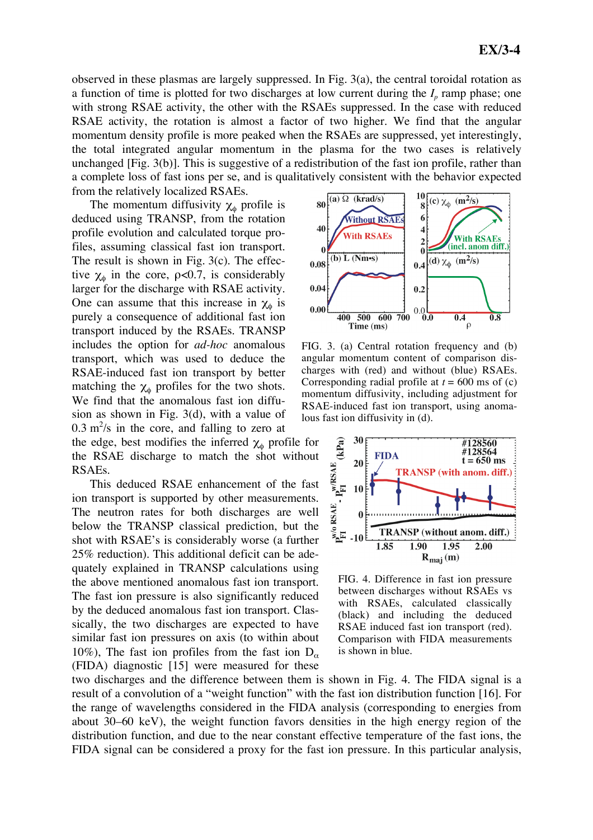observed in these plasmas are largely suppressed. In Fig. 3(a), the central toroidal rotation as a function of time is plotted for two discharges at low current during the  $I<sub>p</sub>$  ramp phase; one with strong RSAE activity, the other with the RSAEs suppressed. In the case with reduced RSAE activity, the rotation is almost a factor of two higher. We find that the angular momentum density profile is more peaked when the RSAEs are suppressed, yet interestingly, the total integrated angular momentum in the plasma for the two cases is relatively unchanged [Fig. 3(b)]. This is suggestive of a redistribution of the fast ion profile, rather than a complete loss of fast ions per se, and is qualitatively consistent with the behavior expected from the relatively localized RSAEs.

The momentum diffusivity  $\chi_{\phi}$  profile is deduced using TRANSP, from the rotation profile evolution and calculated torque profiles, assuming classical fast ion transport. The result is shown in Fig. 3(c). The effective  $\chi_{\phi}$  in the core,  $\rho < 0.7$ , is considerably larger for the discharge with RSAE activity. One can assume that this increase in  $\chi_{\phi}$  is purely a consequence of additional fast ion transport induced by the RSAEs. TRANSP includes the option for *ad-hoc* anomalous transport, which was used to deduce the RSAE-induced fast ion transport by better matching the  $\chi_{\phi}$  profiles for the two shots. We find that the anomalous fast ion diffusion as shown in Fig. 3(d), with a value of  $0.3 \text{ m}^2/\text{s}$  in the core, and falling to zero at the edge, best modifies the inferred  $\chi_{\phi}$  profile for the RSAE discharge to match the shot without RSAEs.

This deduced RSAE enhancement of the fast ion transport is supported by other measurements. The neutron rates for both discharges are well below the TRANSP classical prediction, but the shot with RSAE's is considerably worse (a further 25% reduction). This additional deficit can be adequately explained in TRANSP calculations using the above mentioned anomalous fast ion transport. The fast ion pressure is also significantly reduced by the deduced anomalous fast ion transport. Classically, the two discharges are expected to have similar fast ion pressures on axis (to within about 10%), The fast ion profiles from the fast ion  $D_{\alpha}$ (FIDA) diagnostic [15] were measured for these



FIG. 3. (a) Central rotation frequency and (b) angular momentum content of comparison discharges with (red) and without (blue) RSAEs. Corresponding radial profile at  $t = 600$  ms of (c) momentum diffusivity, including adjustment for RSAE-induced fast ion transport, using anomalous fast ion diffusivity in (d).



FIG. 4. Difference in fast ion pressure between discharges without RSAEs vs with RSAEs, calculated classically (black) and including the deduced RSAE induced fast ion transport (red). Comparison with FIDA measurements is shown in blue.

two discharges and the difference between them is shown in Fig. 4. The FIDA signal is a result of a convolution of a "weight function" with the fast ion distribution function [16]. For the range of wavelengths considered in the FIDA analysis (corresponding to energies from about 30–60 keV), the weight function favors densities in the high energy region of the distribution function, and due to the near constant effective temperature of the fast ions, the FIDA signal can be considered a proxy for the fast ion pressure. In this particular analysis,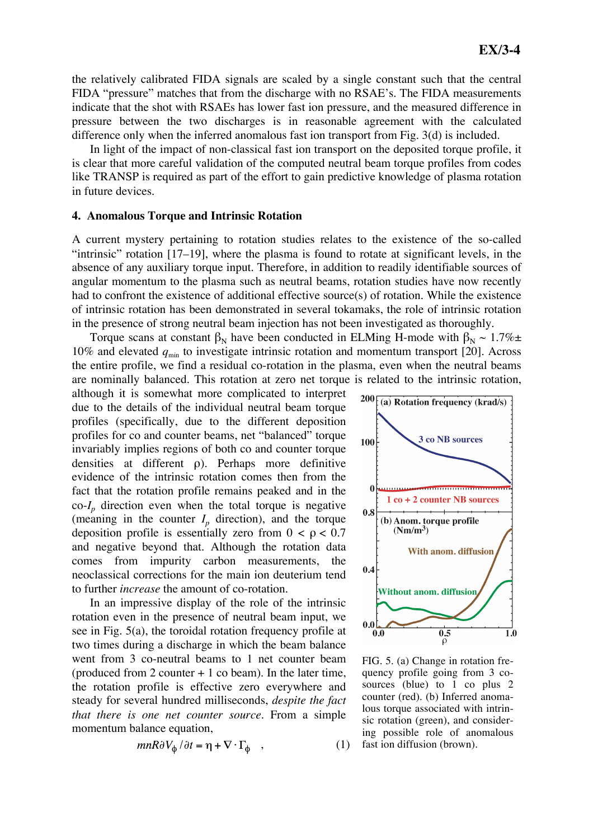the relatively calibrated FIDA signals are scaled by a single constant such that the central FIDA "pressure" matches that from the discharge with no RSAE's. The FIDA measurements indicate that the shot with RSAEs has lower fast ion pressure, and the measured difference in pressure between the two discharges is in reasonable agreement with the calculated difference only when the inferred anomalous fast ion transport from Fig. 3(d) is included.

In light of the impact of non-classical fast ion transport on the deposited torque profile, it is clear that more careful validation of the computed neutral beam torque profiles from codes like TRANSP is required as part of the effort to gain predictive knowledge of plasma rotation in future devices.

#### **4. Anomalous Torque and Intrinsic Rotation**

A current mystery pertaining to rotation studies relates to the existence of the so-called "intrinsic" rotation [17–19], where the plasma is found to rotate at significant levels, in the absence of any auxiliary torque input. Therefore, in addition to readily identifiable sources of angular momentum to the plasma such as neutral beams, rotation studies have now recently had to confront the existence of additional effective source(s) of rotation. While the existence of intrinsic rotation has been demonstrated in several tokamaks, the role of intrinsic rotation in the presence of strong neutral beam injection has not been investigated as thoroughly.

Torque scans at constant  $\beta_N$  have been conducted in ELMing H-mode with  $\beta_N \sim 1.7\% \pm 1.7\%$ 10% and elevated  $q<sub>min</sub>$  to investigate intrinsic rotation and momentum transport [20]. Across the entire profile, we find a residual co-rotation in the plasma, even when the neutral beams are nominally balanced. This rotation at zero net torque is related to the intrinsic rotation,

although it is somewhat more complicated to interpret due to the details of the individual neutral beam torque profiles (specifically, due to the different deposition profiles for co and counter beams, net "balanced" torque invariably implies regions of both co and counter torque densities at different ρ). Perhaps more definitive evidence of the intrinsic rotation comes then from the fact that the rotation profile remains peaked and in the  $\cot I_n$  direction even when the total torque is negative (meaning in the counter  $I_p$  direction), and the torque deposition profile is essentially zero from  $0 < \rho < 0.7$ and negative beyond that. Although the rotation data comes from impurity carbon measurements, the neoclassical corrections for the main ion deuterium tend to further *increase* the amount of co-rotation.

In an impressive display of the role of the intrinsic rotation even in the presence of neutral beam input, we see in Fig. 5(a), the toroidal rotation frequency profile at two times during a discharge in which the beam balance went from 3 co-neutral beams to 1 net counter beam (produced from 2 counter  $+1$  co beam). In the later time, the rotation profile is effective zero everywhere and steady for several hundred milliseconds, *despite the fact that there is one net counter source*. From a simple momentum balance equation,

$$
mnR\partial V_{\phi}/\partial t = \eta + \nabla \cdot \Gamma_{\phi} \quad , \tag{1}
$$



FIG. 5. (a) Change in rotation frequency profile going from 3 cosources (blue) to 1 co plus 2 counter (red). (b) Inferred anomalous torque associated with intrinsic rotation (green), and considering possible role of anomalous fast ion diffusion (brown).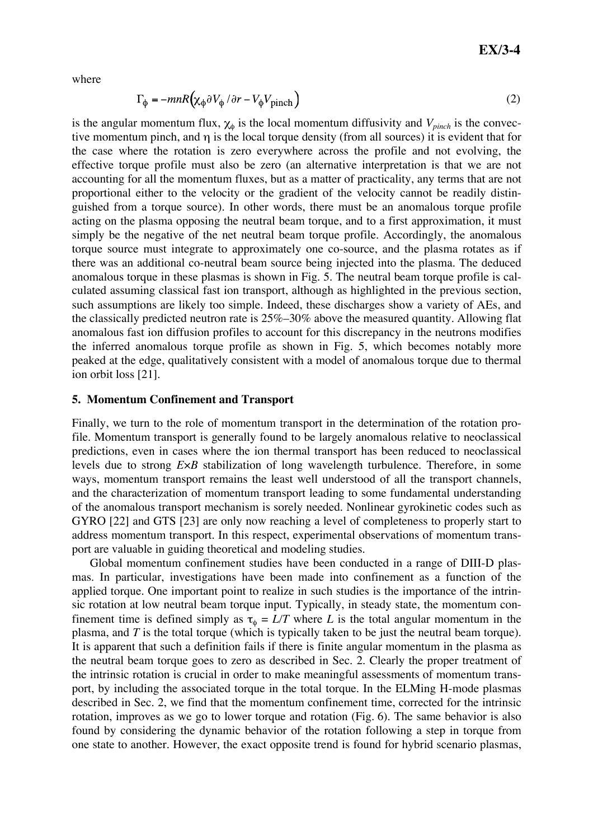where

$$
\Gamma_{\phi} = -mnR\left(\chi_{\phi}\partial V_{\phi}/\partial r - V_{\phi}V_{\text{pinch}}\right)
$$
 (2)

is the angular momentum flux,  $\chi_{\phi}$  is the local momentum diffusivity and  $V_{pinch}$  is the convective momentum pinch, and η is the local torque density (from all sources) it is evident that for the case where the rotation is zero everywhere across the profile and not evolving, the effective torque profile must also be zero (an alternative interpretation is that we are not accounting for all the momentum fluxes, but as a matter of practicality, any terms that are not proportional either to the velocity or the gradient of the velocity cannot be readily distinguished from a torque source). In other words, there must be an anomalous torque profile acting on the plasma opposing the neutral beam torque, and to a first approximation, it must simply be the negative of the net neutral beam torque profile. Accordingly, the anomalous torque source must integrate to approximately one co-source, and the plasma rotates as if there was an additional co-neutral beam source being injected into the plasma. The deduced anomalous torque in these plasmas is shown in Fig. 5. The neutral beam torque profile is calculated assuming classical fast ion transport, although as highlighted in the previous section, such assumptions are likely too simple. Indeed, these discharges show a variety of AEs, and the classically predicted neutron rate is 25%–30% above the measured quantity. Allowing flat anomalous fast ion diffusion profiles to account for this discrepancy in the neutrons modifies the inferred anomalous torque profile as shown in Fig. 5, which becomes notably more peaked at the edge, qualitatively consistent with a model of anomalous torque due to thermal ion orbit loss [21].

#### **5. Momentum Confinement and Transport**

Finally, we turn to the role of momentum transport in the determination of the rotation profile. Momentum transport is generally found to be largely anomalous relative to neoclassical predictions, even in cases where the ion thermal transport has been reduced to neoclassical levels due to strong *E*×*B* stabilization of long wavelength turbulence. Therefore, in some ways, momentum transport remains the least well understood of all the transport channels, and the characterization of momentum transport leading to some fundamental understanding of the anomalous transport mechanism is sorely needed. Nonlinear gyrokinetic codes such as GYRO [22] and GTS [23] are only now reaching a level of completeness to properly start to address momentum transport. In this respect, experimental observations of momentum transport are valuable in guiding theoretical and modeling studies.

Global momentum confinement studies have been conducted in a range of DIII-D plasmas. In particular, investigations have been made into confinement as a function of the applied torque. One important point to realize in such studies is the importance of the intrinsic rotation at low neutral beam torque input. Typically, in steady state, the momentum confinement time is defined simply as  $\tau_{\phi} = L/T$  where *L* is the total angular momentum in the plasma, and *T* is the total torque (which is typically taken to be just the neutral beam torque). It is apparent that such a definition fails if there is finite angular momentum in the plasma as the neutral beam torque goes to zero as described in Sec. 2. Clearly the proper treatment of the intrinsic rotation is crucial in order to make meaningful assessments of momentum transport, by including the associated torque in the total torque. In the ELMing H-mode plasmas described in Sec. 2, we find that the momentum confinement time, corrected for the intrinsic rotation, improves as we go to lower torque and rotation (Fig. 6). The same behavior is also found by considering the dynamic behavior of the rotation following a step in torque from one state to another. However, the exact opposite trend is found for hybrid scenario plasmas,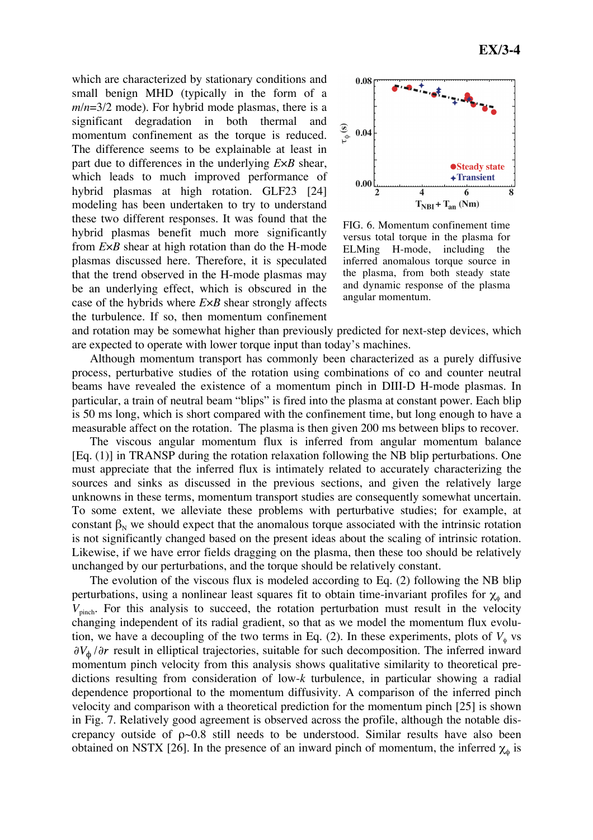which are characterized by stationary conditions and small benign MHD (typically in the form of a *m*/*n*=3/2 mode). For hybrid mode plasmas, there is a significant degradation in both thermal and momentum confinement as the torque is reduced. The difference seems to be explainable at least in part due to differences in the underlying *E*×*B* shear, which leads to much improved performance of hybrid plasmas at high rotation. GLF23 [24] modeling has been undertaken to try to understand these two different responses. It was found that the hybrid plasmas benefit much more significantly from *E*×*B* shear at high rotation than do the H-mode plasmas discussed here. Therefore, it is speculated that the trend observed in the H-mode plasmas may be an underlying effect, which is obscured in the case of the hybrids where *E*×*B* shear strongly affects the turbulence. If so, then momentum confinement



FIG. 6. Momentum confinement time versus total torque in the plasma for ELMing H-mode, including the inferred anomalous torque source in the plasma, from both steady state and dynamic response of the plasma angular momentum.

and rotation may be somewhat higher than previously predicted for next-step devices, which are expected to operate with lower torque input than today's machines.

Although momentum transport has commonly been characterized as a purely diffusive process, perturbative studies of the rotation using combinations of co and counter neutral beams have revealed the existence of a momentum pinch in DIII-D H-mode plasmas. In particular, a train of neutral beam "blips" is fired into the plasma at constant power. Each blip is 50 ms long, which is short compared with the confinement time, but long enough to have a measurable affect on the rotation. The plasma is then given 200 ms between blips to recover.

The viscous angular momentum flux is inferred from angular momentum balance [Eq. (1)] in TRANSP during the rotation relaxation following the NB blip perturbations. One must appreciate that the inferred flux is intimately related to accurately characterizing the sources and sinks as discussed in the previous sections, and given the relatively large unknowns in these terms, momentum transport studies are consequently somewhat uncertain. To some extent, we alleviate these problems with perturbative studies; for example, at constant  $\beta_N$  we should expect that the anomalous torque associated with the intrinsic rotation is not significantly changed based on the present ideas about the scaling of intrinsic rotation. Likewise, if we have error fields dragging on the plasma, then these too should be relatively unchanged by our perturbations, and the torque should be relatively constant.

The evolution of the viscous flux is modeled according to Eq. (2) following the NB blip perturbations, using a nonlinear least squares fit to obtain time-invariant profiles for  $\chi_{\phi}$  and  $V_{\text{pinch}}$ . For this analysis to succeed, the rotation perturbation must result in the velocity changing independent of its radial gradient, so that as we model the momentum flux evolution, we have a decoupling of the two terms in Eq. (2). In these experiments, plots of  $V_{\phi}$  vs  $\partial V_{\phi}/\partial r$  result in elliptical trajectories, suitable for such decomposition. The inferred inward momentum pinch velocity from this analysis shows qualitative similarity to theoretical predictions resulting from consideration of low-*k* turbulence, in particular showing a radial dependence proportional to the momentum diffusivity. A comparison of the inferred pinch velocity and comparison with a theoretical prediction for the momentum pinch [25] is shown in Fig. 7. Relatively good agreement is observed across the profile, although the notable discrepancy outside of  $p \sim 0.8$  still needs to be understood. Similar results have also been obtained on NSTX [26]. In the presence of an inward pinch of momentum, the inferred  $\chi_{\phi}$  is